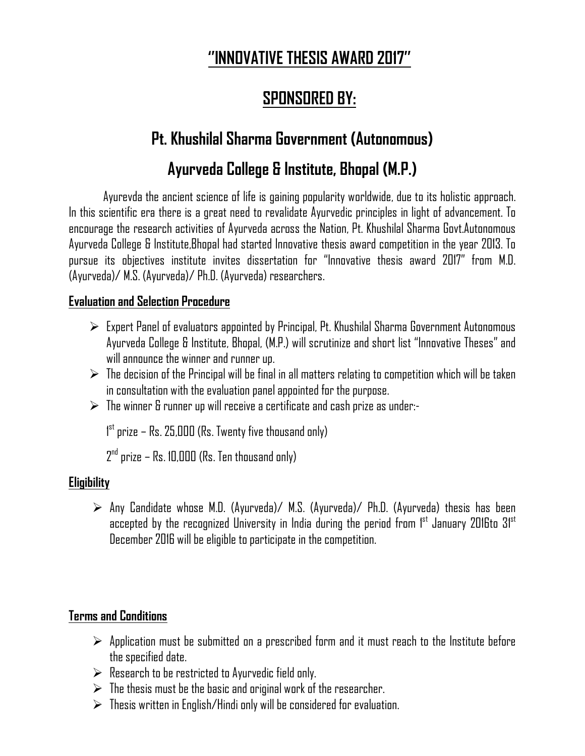# **''INNOVATIVE THESIS AWARD 2017''**

## **SPONSORED BY:**

# **Pt. Khushilal Sharma Government (Autonomous)**

# **Ayurveda College & Institute, Bhopal (M.P.)**

Ayurevda the ancient science of life is gaining popularity worldwide, due to its holistic approach. In this scientific era there is a great need to revalidate Ayurvedic principles in light of advancement. To encourage the research activities of Ayurveda across the Nation, Pt. Khushilal Sharma Govt.Autonomous Ayurveda College & Institute,Bhopal had started Innovative thesis award competition in the year 2013. To pursue its objectives institute invites dissertation for "Innovative thesis award 2017" from M.D. (Ayurveda)/ M.S. (Ayurveda)/ Ph.D. (Ayurveda) researchers.

### **Evaluation and Selection Procedure**

- $\triangleright$  Expert Panel of evaluators appointed by Principal, Pt. Khushilal Sharma Government Autonomous Ayurveda College & Institute, Bhopal, (M.P.) will scrutinize and short list "Innovative Theses" and will announce the winner and runner up.
- $\triangleright$  The decision of the Principal will be final in all matters relating to competition which will be taken in consultation with the evaluation panel appointed for the purpose.
- $\triangleright$  The winner & runner up will receive a certificate and cash prize as under:-

1 st prize – Rs. 25,000 (Rs. Twenty five thousand only)

 $2<sup>nd</sup>$  prize – Rs. 10,000 (Rs. Ten thousand only)

### **Eligibility**

 Any Candidate whose M.D. (Ayurveda)/ M.S. (Ayurveda)/ Ph.D. (Ayurveda) thesis has been accepted by the recognized University in India during the period from 1st January 2016to 31st December 2016 will be eligible to participate in the competition.

### **Terms and Conditions**

- $\triangleright$  Application must be submitted on a prescribed form and it must reach to the Institute before the specified date.
- $\triangleright$  Research to be restricted to Ayurvedic field only.
- $\triangleright$  The thesis must be the basic and original work of the researcher.
- $\triangleright$  Thesis written in English/Hindi only will be considered for evaluation.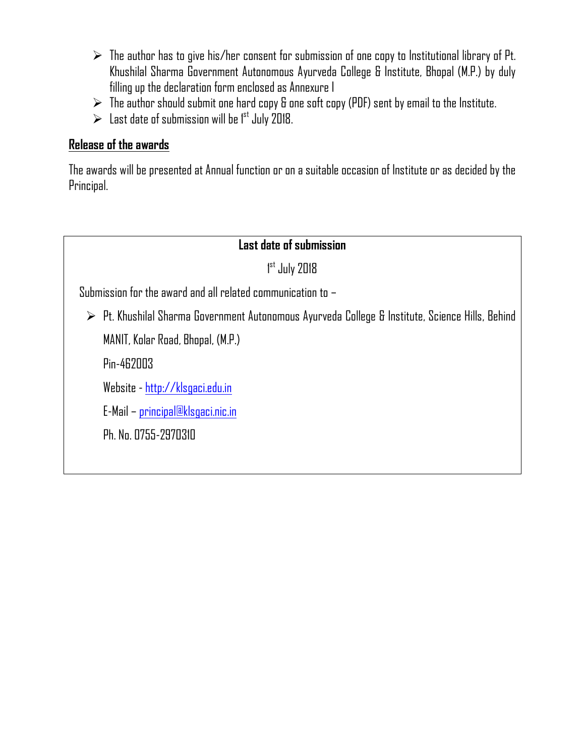- $\triangleright$  The author has to give his/her consent for submission of one copy to Institutional library of Pt. Khushilal Sharma Government Autonomous Ayurveda College & Institute, Bhopal (M.P.) by duly filling up the declaration form enclosed as Annexure I
- $\triangleright$  The author should submit one hard copy & one soft copy (PDF) sent by email to the Institute.
- $\triangleright$  Last date of submission will be 1<sup>st</sup> July 2018.

### **Release of the awards**

The awards will be presented at Annual function or on a suitable occasion of Institute or as decided by the Principal.

### **Last date of submission**

1 st July 2018

Submission for the award and all related communication to –

 Pt. Khushilal Sharma Government Autonomous Ayurveda College & Institute, Science Hills, Behind MANIT, Kolar Road, Bhopal, (M.P.)

Pin-462003

Website - http://klsgaci.edu.in

E-Mail – principal@klsgaci.nic.in

Ph. No. 0755-2970310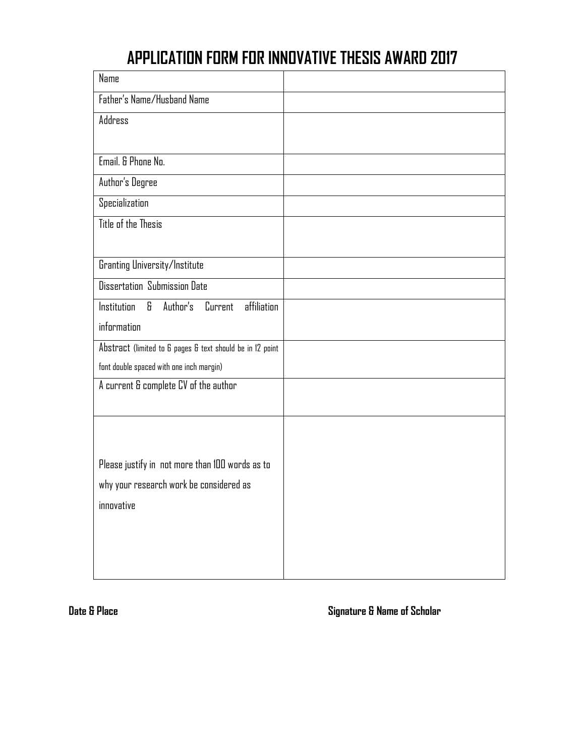# **APPLICATION FORM FOR INNOVATIVE THESIS AWARD 2017**

| Name                                                      |  |
|-----------------------------------------------------------|--|
| Father's Name/Husband Name                                |  |
| Address                                                   |  |
|                                                           |  |
| Email. & Phone No.                                        |  |
| Author's Degree                                           |  |
| Specialization                                            |  |
| Title of the Thesis                                       |  |
|                                                           |  |
| Granting University/Institute                             |  |
| Dissertation Submission Date                              |  |
| affiliation<br>8<br>Author's<br>Current<br>Institution    |  |
| information                                               |  |
| Abstract (limited to 6 pages & text should be in 12 point |  |
| font double spaced with one inch margin)                  |  |
| A current & complete CV of the author                     |  |
|                                                           |  |
|                                                           |  |
|                                                           |  |
| Please justify in not more than 100 words as to           |  |
| why your research work be considered as                   |  |
| innovative                                                |  |
|                                                           |  |
|                                                           |  |
|                                                           |  |

**Date & Place Signature & Name of Scholar**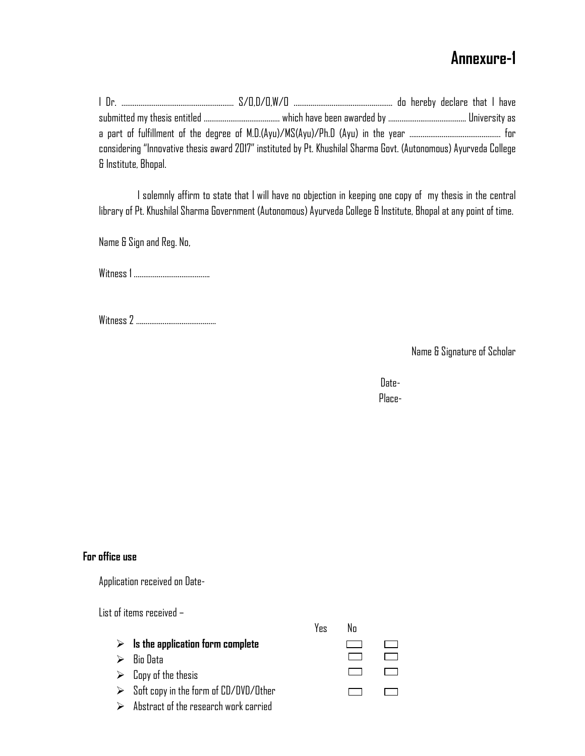### **Annexure-1**

|                      | considering "Innovative thesis award 2017" instituted by Pt. Khushilal Sharma Govt. (Autonomous) Ayurveda College |  |
|----------------------|-------------------------------------------------------------------------------------------------------------------|--|
| & Institute, Bhopal. |                                                                                                                   |  |

 I solemnly affirm to state that I will have no objection in keeping one copy of my thesis in the central library of Pt. Khushilal Sharma Government (Autonomous) Ayurveda College & Institute, Bhopal at any point of time.

Name & Sign and Reg. No,

Witness 1 ………………………………….

Witness 2 ……………………………………

Name & Signature of Scholar

discoveries and the contract of the Date-Place-

#### **For office use**

Application received on Date-

List of items received –

|  |  |  |  | $\triangleright$ Is the application form complete |
|--|--|--|--|---------------------------------------------------|
|--|--|--|--|---------------------------------------------------|

- $\triangleright$  Bio Data
- $\triangleright$  Copy of the thesis
- $\triangleright$  Soft copy in the form of CD/DVD/Other
- $\triangleright$  Abstract of the research work carried

Yes No

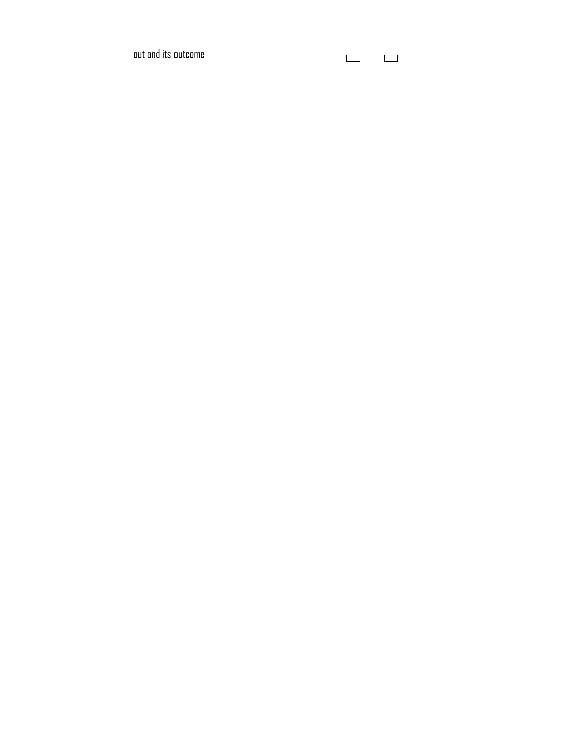out and its outcome

 $\qquad \qquad \Box$  $\Box$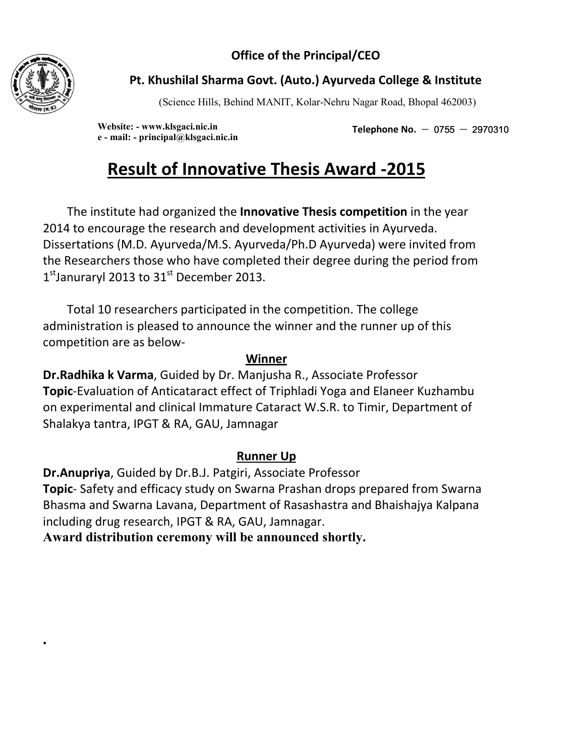**Office of the Principal/CEO** 



**.** 

### **Pt. Khushilal Sharma Govt. (Auto.) Ayurveda College & Institute**

(Science Hills, Behind MANIT, Kolar-Nehru Nagar Road, Bhopal 462003)

**Website: - www.klsgaci.nic.in e - mail: - principal@klsgaci.nic.in** 

Telephone No.  $-$  0755  $-$  2970310

# **Result of Innovative Thesis Award -2015**

 The institute had organized the **Innovative Thesis competition** in the year 2014 to encourage the research and development activities in Ayurveda. Dissertations (M.D. Ayurveda/M.S. Ayurveda/Ph.D Ayurveda) were invited from the Researchers those who have completed their degree during the period from  $1<sup>st</sup>$ Januraryl 2013 to 31 $<sup>st</sup>$  December 2013.</sup>

 Total 10 researchers participated in the competition. The college administration is pleased to announce the winner and the runner up of this competition are as below-

### **Winner**

**Dr.Radhika k Varma**, Guided by Dr. Manjusha R., Associate Professor **Topic**-Evaluation of Anticataract effect of Triphladi Yoga and Elaneer Kuzhambu on experimental and clinical Immature Cataract W.S.R. to Timir, Department of Shalakya tantra, IPGT & RA, GAU, Jamnagar

### **Runner Up**

**Dr.Anupriya**, Guided by Dr.B.J. Patgiri, Associate Professor **Topic**- Safety and efficacy study on Swarna Prashan drops prepared from Swarna Bhasma and Swarna Lavana, Department of Rasashastra and Bhaishajya Kalpana including drug research, IPGT & RA, GAU, Jamnagar.

**Award distribution ceremony will be announced shortly.**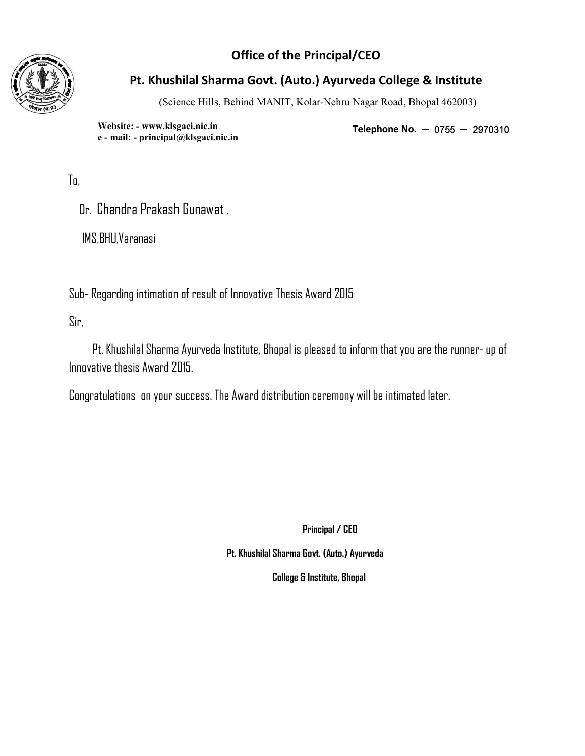### **Office of the Principal/CEO**



### **Pt. Khushilal Sharma Govt. (Auto.) Ayurveda College & Institute**

(Science Hills, Behind MANIT, Kolar-Nehru Nagar Road, Bhopal 462003)

**Website: - www.klsgaci.nic.in e - mail: - principal@klsgaci.nic.in** 

Telephone No.  $-$  0755  $-$  2970310

To,

Dr. Chandra Prakash Gunawat ,

IMS,BHU,Varanasi

Sub- Regarding intimation of result of Innovative Thesis Award 2015

Sir,

 Pt. Khushilal Sharma Ayurveda Institute, Bhopal is pleased to inform that you are the runner- up of Innovative thesis Award 2015.

Congratulations on your success. The Award distribution ceremony will be intimated later.

 **Principal / CEO** 

 **Pt. Khushilal Sharma Govt. (Auto.) Ayurveda** 

 **College & Institute, Bhopal**